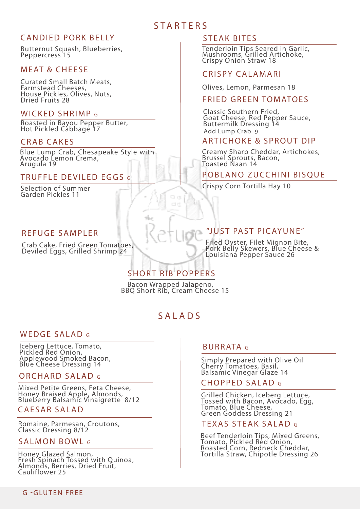# **STARTERS**

## CANDIED PORK BELLY

Butternut Squash, Blueberries, Peppercress 15

#### M F AT & CHFFSF

Curated Small Batch Meats, Farmstead Cheeses, House Pickles, Olives, Nuts, Dried Fruits 28

#### WICKED SHRIMP G

Roasted in Bayou Pepper Butter, Hot Pickled Cabbage 17

#### CRAB CAKES

Blue Lump Crab, Chesapeake Style with Avocado Lemon Crema, Arugula 19

#### TRUFFLE DEVILED EGGS G

Selection of Summer Garden Pickles 11

#### REFUGE SAMPLER

Crab Cake, Fried Green Tomatoes, Deviled Eggs, Grilled Shrimp 24

#### STEAK BITES

Tenderloin Tips Seared in Garlic, Mushrooms, Grilled Artichoke, Crispy Onion Straw 18

#### CRISPY CALAMARI

Olives, Lemon, Parmesan 18

#### **FRIED GREEN TOMATOES**

Classic Southern Fried, Goat Cheese, Red Pepper Sauce, Buttermilk Dressing 14 Add Lump Crab 9

#### ARTICHOKE & SPROUT DIP

Creamy Sharp Cheddar, Artichokes, Brussel Sprouts, Bacon, Toasted Naan 14

#### POBLANO ZUCCHINI BISQUE

Crispy Corn Tortilla Hay 10

#### "JUST PAST PICAYUNE"

Fried Oyster, Filet Mignon Bite, Pork Belly Skewers, Blue Cheese & Louisiana Pepper Sauce 26

# SHORT RIB POPPERS

m. ct d

Bacon Wrapped Jalapeno, BBQ Short Rib, Cream Cheese 15

# SALADS

#### WEDGE SALAD G

Iceberg Lettuce, Tomato, Pickled Red Onion, Applewood Smoked Bacon, Blue Cheese Dressing 14

#### ORCHARD SALAD G

Mixed Petite Greens, Feta Cheese, Honey Braised Apple, Almonds, Blueberry Balsamic Vinaigrette 8/12

#### CAESAR SALAD

Romaine, Parmesan, Croutons, Classic Dressing 8/12

#### SALMON BOWL G

Honey Glazed Salmon,<br>Fresh Spinach Tossed with Quinoa, Almonds, Berries, Dried Fruit, Cauliflower 25

#### BURRATA G

Simply Prepared with Olive Oil Cherry Tomatoes, Basil, Balsamic Vinegar Glaze 14

#### CHOPPED SALAD G

Grilled Chicken, Iceberg Lettuce, Tossed with Bacon, Avocado, Egg, Tomato, Blue Cheese, Green Goddess Dressing 21

#### TEXAS STEAK SALAD G

Beef Tenderloin Tips, Mixed Greens, Tomato, Pickled Red Onion,